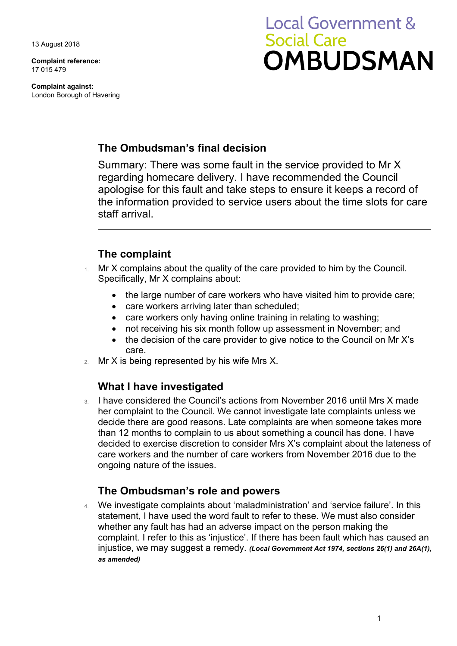13 August 2018

**Complaint reference:**  17 015 479

**Complaint against:**  London Borough of Havering

# **Local Government & Social Care OMBUDSMAN**

## **The Ombudsman's final decision**

Summary: There was some fault in the service provided to Mr X regarding homecare delivery. I have recommended the Council apologise for this fault and take steps to ensure it keeps a record of the information provided to service users about the time slots for care staff arrival.

## **The complaint**

- Mr X complains about the quality of the care provided to him by the Council. Specifically, Mr X complains about:
	- the large number of care workers who have visited him to provide care;
	- care workers arriving later than scheduled;
	- care workers only having online training in relating to washing;
	- not receiving his six month follow up assessment in November; and
	- the decision of the care provider to give notice to the Council on Mr X's care.
- 2. Mr X is being represented by his wife Mrs X.

## **What I have investigated**

3. I have considered the Council's actions from November 2016 until Mrs X made her complaint to the Council. We cannot investigate late complaints unless we decide there are good reasons. Late complaints are when someone takes more than 12 months to complain to us about something a council has done. I have decided to exercise discretion to consider Mrs X's complaint about the lateness of care workers and the number of care workers from November 2016 due to the ongoing nature of the issues.

## **The Ombudsman's role and powers**

4. We investigate complaints about 'maladministration' and 'service failure'. In this statement, I have used the word fault to refer to these. We must also consider whether any fault has had an adverse impact on the person making the complaint. I refer to this as 'injustice'. If there has been fault which has caused an injustice, we may suggest a remedy. *(Local Government Act 1974, sections 26(1) and 26A(1), as amended)*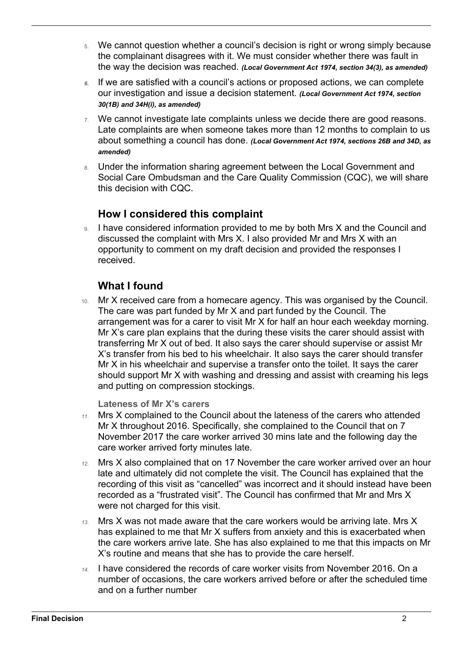- 5. We cannot question whether a council's decision is right or wrong simply because the complainant disagrees with it. We must consider whether there was fault in the way the decision was reached. *(Local Government Act 1974, section 34(3), as amended)*
- our investigation and issue a decision statement. *(Local Government Act 1974, section 6.* If we are satisfied with a council's actions or proposed actions, we can complete *30(1B) and 34H(i), as amended)*
- Late complaints are when someone takes more than 12 months to complain to us 7. We cannot investigate late complaints unless we decide there are good reasons. about something a council has done. *(Local Government Act 1974, sections 26B and 34D, as amended)*
- 8. Under the information sharing agreement between the Local Government and Social Care Ombudsman and the Care Quality Commission (CQC), we will share this decision with CQC.

## **How I considered this complaint**

9. I have considered information provided to me by both Mrs X and the Council and discussed the complaint with Mrs X. I also provided Mr and Mrs X with an opportunity to comment on my draft decision and provided the responses I received.

## **What I found**

10. Mr X received care from a homecare agency. This was organised by the Council. The care was part funded by Mr X and part funded by the Council. The arrangement was for a carer to visit Mr X for half an hour each weekday morning. Mr X's care plan explains that the during these visits the carer should assist with transferring Mr X out of bed. It also says the carer should supervise or assist Mr X's transfer from his bed to his wheelchair. It also says the carer should transfer Mr X in his wheelchair and supervise a transfer onto the toilet. It says the carer should support Mr X with washing and dressing and assist with creaming his legs and putting on compression stockings.

**Lateness of Mr X's carers** 

- *11.* Mrs X complained to the Council about the lateness of the carers who attended Mr X throughout 2016. Specifically, she complained to the Council that on 7 November 2017 the care worker arrived 30 mins late and the following day the care worker arrived forty minutes late.
- *12.* Mrs X also complained that on 17 November the care worker arrived over an hour late and ultimately did not complete the visit. The Council has explained that the recording of this visit as "cancelled" was incorrect and it should instead have been recorded as a "frustrated visit". The Council has confirmed that Mr and Mrs X were not charged for this visit.
- the care workers arrive late. She has also explained to me that this impacts on Mr *13.* Mrs X was not made aware that the care workers would be arriving late. Mrs X has explained to me that Mr X suffers from anxiety and this is exacerbated when X's routine and means that she has to provide the care herself.
- and on a further number *14.* I have considered the records of care worker visits from November 2016. On a number of occasions, the care workers arrived before or after the scheduled time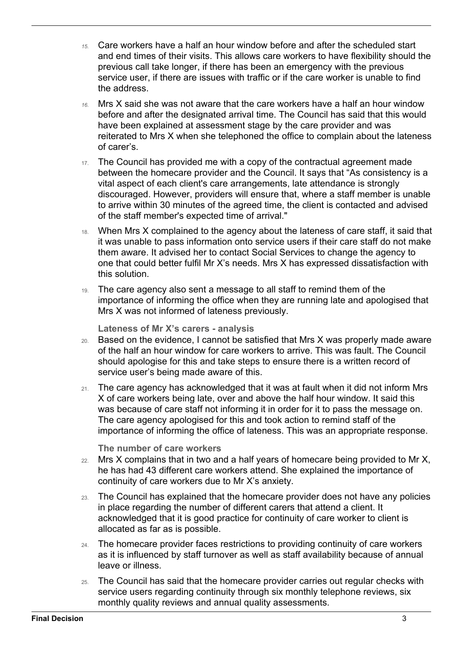- *15.* Care workers have a half an hour window before and after the scheduled start and end times of their visits. This allows care workers to have flexibility should the previous call take longer, if there has been an emergency with the previous service user, if there are issues with traffic or if the care worker is unable to find the address.
- before and after the designated arrival time. The Council has said that this would *16.* Mrs X said she was not aware that the care workers have a half an hour window have been explained at assessment stage by the care provider and was reiterated to Mrs X when she telephoned the office to complain about the lateness of carer's.
- 17. The Council has provided me with a copy of the contractual agreement made between the homecare provider and the Council. It says that "As consistency is a vital aspect of each client's care arrangements, late attendance is strongly discouraged. However, providers will ensure that, where a staff member is unable to arrive within 30 minutes of the agreed time, the client is contacted and advised of the staff member's expected time of arrival."
- it was unable to pass information onto service users if their care staff do not make them aware. It advised her to contact Social Services to change the agency to 18. When Mrs X complained to the agency about the lateness of care staff, it said that one that could better fulfil Mr X's needs. Mrs X has expressed dissatisfaction with this solution.
- 19. The care agency also sent a message to all staff to remind them of the importance of informing the office when they are running late and apologised that Mrs X was not informed of lateness previously.

**Lateness of Mr X's carers - analysis** 

- of the half an hour window for care workers to arrive. This was fault. The Council 20. Based on the evidence, I cannot be satisfied that Mrs X was properly made aware should apologise for this and take steps to ensure there is a written record of service user's being made aware of this.
- 21. The care agency has acknowledged that it was at fault when it did not inform Mrs X of care workers being late, over and above the half hour window. It said this was because of care staff not informing it in order for it to pass the message on. The care agency apologised for this and took action to remind staff of the importance of informing the office of lateness. This was an appropriate response.

**The number of care workers** 

- $222$  Mrs X complains that in two and a half years of homecare being provided to Mr X, he has had 43 different care workers attend. She explained the importance of continuity of care workers due to Mr X's anxiety.
- 23. The Council has explained that the homecare provider does not have any policies in place regarding the number of different carers that attend a client. It acknowledged that it is good practice for continuity of care worker to client is allocated as far as is possible.
- 24. The homecare provider faces restrictions to providing continuity of care workers as it is influenced by staff turnover as well as staff availability because of annual leave or illness.
- 25. The Council has said that the homecare provider carries out regular checks with service users regarding continuity through six monthly telephone reviews, six monthly quality reviews and annual quality assessments.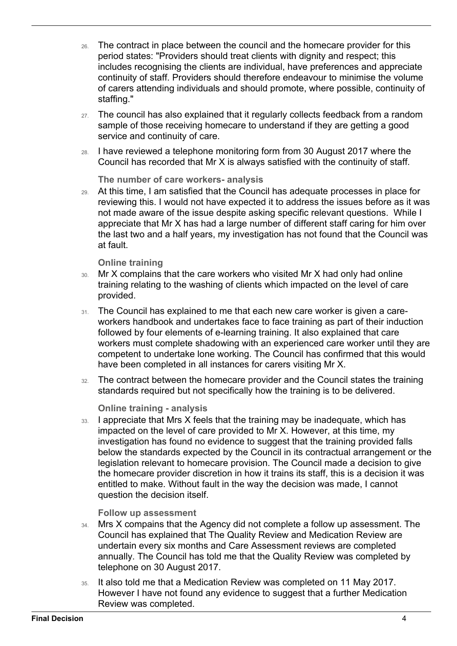- continuity of staff. Providers should therefore endeavour to minimise the volume 26. The contract in place between the council and the homecare provider for this period states: "Providers should treat clients with dignity and respect; this includes recognising the clients are individual, have preferences and appreciate of carers attending individuals and should promote, where possible, continuity of staffing."
- sample of those receiving homecare to understand if they are getting a good 27. The council has also explained that it regularly collects feedback from a random service and continuity of care.
- 28. I have reviewed a telephone monitoring form from 30 August 2017 where the Council has recorded that Mr X is always satisfied with the continuity of staff.

#### **The number of care workers- analysis**

29. At this time, I am satisfied that the Council has adequate processes in place for reviewing this. I would not have expected it to address the issues before as it was not made aware of the issue despite asking specific relevant questions. While I appreciate that Mr X has had a large number of different staff caring for him over the last two and a half years, my investigation has not found that the Council was at fault.

#### **Online training**

- 30. Mr X complains that the care workers who visited Mr X had only had online training relating to the washing of clients which impacted on the level of care provided.
- followed by four elements of e-learning training. It also explained that care 31. The Council has explained to me that each new care worker is given a careworkers handbook and undertakes face to face training as part of their induction workers must complete shadowing with an experienced care worker until they are competent to undertake lone working. The Council has confirmed that this would have been completed in all instances for carers visiting Mr X.
- 32. The contract between the homecare provider and the Council states the training standards required but not specifically how the training is to be delivered.

#### **Online training - analysis**

 the homecare provider discretion in how it trains its staff, this is a decision it was entitled to make. Without fault in the way the decision was made, I cannot 33. I appreciate that Mrs X feels that the training may be inadequate, which has impacted on the level of care provided to Mr X. However, at this time, my investigation has found no evidence to suggest that the training provided falls below the standards expected by the Council in its contractual arrangement or the legislation relevant to homecare provision. The Council made a decision to give question the decision itself.

#### **Follow up assessment**

- annually. The Council has told me that the Quality Review was completed by 34. Mrs X compains that the Agency did not complete a follow up assessment. The Council has explained that The Quality Review and Medication Review are undertain every six months and Care Assessment reviews are completed telephone on 30 August 2017.
- 35. It also told me that a Medication Review was completed on 11 May 2017. However I have not found any evidence to suggest that a further Medication Review was completed.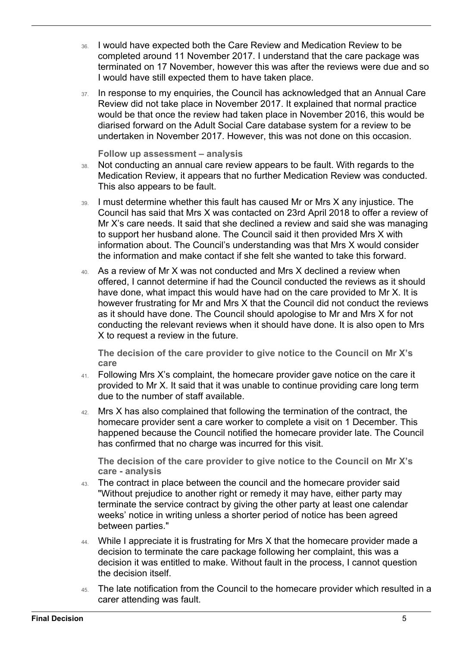- 36. I would have expected both the Care Review and Medication Review to be completed around 11 November 2017. I understand that the care package was terminated on 17 November, however this was after the reviews were due and so I would have still expected them to have taken place.
- 37. In response to my enquiries, the Council has acknowledged that an Annual Care Review did not take place in November 2017. It explained that normal practice would be that once the review had taken place in November 2016, this would be diarised forward on the Adult Social Care database system for a review to be undertaken in November 2017. However, this was not done on this occasion.

**Follow up assessment – analysis** 

- 38. Not conducting an annual care review appears to be fault. With regards to the Medication Review, it appears that no further Medication Review was conducted. This also appears to be fault.
- 39. I must determine whether this fault has caused Mr or Mrs X any injustice. The Council has said that Mrs X was contacted on 23rd April 2018 to offer a review of Mr X's care needs. It said that she declined a review and said she was managing to support her husband alone. The Council said it then provided Mrs X with information about. The Council's understanding was that Mrs X would consider the information and make contact if she felt she wanted to take this forward.
- as it should have done. The Council should apologise to Mr and Mrs X for not 40. As a review of Mr X was not conducted and Mrs X declined a review when offered, I cannot determine if had the Council conducted the reviews as it should have done, what impact this would have had on the care provided to Mr X. It is however frustrating for Mr and Mrs X that the Council did not conduct the reviews conducting the relevant reviews when it should have done. It is also open to Mrs X to request a review in the future.

**The decision of the care provider to give notice to the Council on Mr X's care** 

- 41. Following Mrs X's complaint, the homecare provider gave notice on the care it provided to Mr X. It said that it was unable to continue providing care long term due to the number of staff available.
- 42. Mrs X has also complained that following the termination of the contract, the homecare provider sent a care worker to complete a visit on 1 December. This happened because the Council notified the homecare provider late. The Council has confirmed that no charge was incurred for this visit.

**The decision of the care provider to give notice to the Council on Mr X's care - analysis** 

- 43. The contract in place between the council and the homecare provider said "Without prejudice to another right or remedy it may have, either party may terminate the service contract by giving the other party at least one calendar weeks' notice in writing unless a shorter period of notice has been agreed between parties."
- 44. While I appreciate it is frustrating for Mrs X that the homecare provider made a decision to terminate the care package following her complaint, this was a decision it was entitled to make. Without fault in the process, I cannot question the decision itself.
- 45. The late notification from the Council to the homecare provider which resulted in a carer attending was fault.